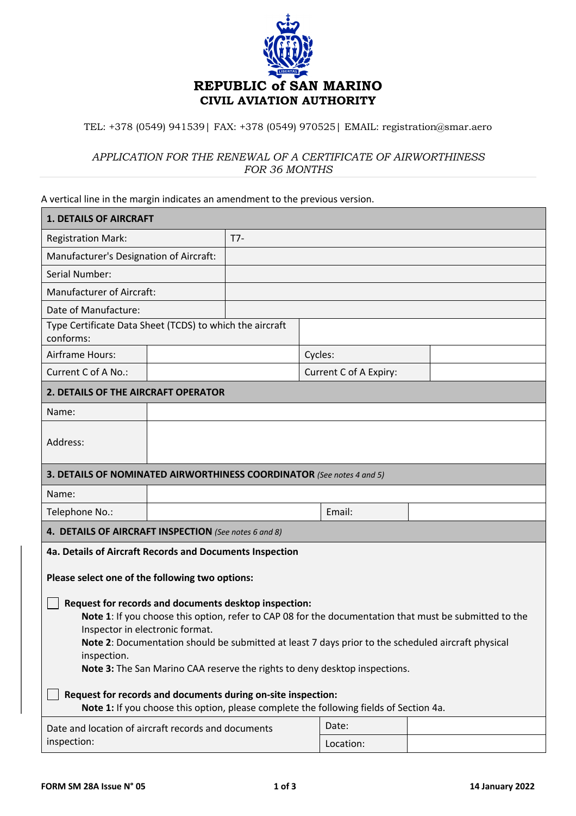

## TEL: +378 (0549) 941539| FAX: +378 (0549) 970525| EMAIL: registration@smar.aero

## *APPLICATION FOR THE RENEWAL OF A CERTIFICATE OF AIRWORTHINESS FOR 36 MONTHS*

## A vertical line in the margin indicates an amendment to the previous version.

| <b>1. DETAILS OF AIRCRAFT</b>                                                                                                                                                                                                                                                                                                                                                                                                                                                                                                                                                                                                                                                  |  |       |  |                        |  |  |  |
|--------------------------------------------------------------------------------------------------------------------------------------------------------------------------------------------------------------------------------------------------------------------------------------------------------------------------------------------------------------------------------------------------------------------------------------------------------------------------------------------------------------------------------------------------------------------------------------------------------------------------------------------------------------------------------|--|-------|--|------------------------|--|--|--|
| <b>Registration Mark:</b>                                                                                                                                                                                                                                                                                                                                                                                                                                                                                                                                                                                                                                                      |  | $T7-$ |  |                        |  |  |  |
| Manufacturer's Designation of Aircraft:                                                                                                                                                                                                                                                                                                                                                                                                                                                                                                                                                                                                                                        |  |       |  |                        |  |  |  |
| Serial Number:                                                                                                                                                                                                                                                                                                                                                                                                                                                                                                                                                                                                                                                                 |  |       |  |                        |  |  |  |
| <b>Manufacturer of Aircraft:</b>                                                                                                                                                                                                                                                                                                                                                                                                                                                                                                                                                                                                                                               |  |       |  |                        |  |  |  |
| Date of Manufacture:                                                                                                                                                                                                                                                                                                                                                                                                                                                                                                                                                                                                                                                           |  |       |  |                        |  |  |  |
| Type Certificate Data Sheet (TCDS) to which the aircraft<br>conforms:                                                                                                                                                                                                                                                                                                                                                                                                                                                                                                                                                                                                          |  |       |  |                        |  |  |  |
| Airframe Hours:                                                                                                                                                                                                                                                                                                                                                                                                                                                                                                                                                                                                                                                                |  |       |  | Cycles:                |  |  |  |
| Current C of A No.:                                                                                                                                                                                                                                                                                                                                                                                                                                                                                                                                                                                                                                                            |  |       |  | Current C of A Expiry: |  |  |  |
| 2. DETAILS OF THE AIRCRAFT OPERATOR                                                                                                                                                                                                                                                                                                                                                                                                                                                                                                                                                                                                                                            |  |       |  |                        |  |  |  |
| Name:                                                                                                                                                                                                                                                                                                                                                                                                                                                                                                                                                                                                                                                                          |  |       |  |                        |  |  |  |
| Address:                                                                                                                                                                                                                                                                                                                                                                                                                                                                                                                                                                                                                                                                       |  |       |  |                        |  |  |  |
| 3. DETAILS OF NOMINATED AIRWORTHINESS COORDINATOR (See notes 4 and 5)                                                                                                                                                                                                                                                                                                                                                                                                                                                                                                                                                                                                          |  |       |  |                        |  |  |  |
| Name:                                                                                                                                                                                                                                                                                                                                                                                                                                                                                                                                                                                                                                                                          |  |       |  |                        |  |  |  |
| Telephone No.:                                                                                                                                                                                                                                                                                                                                                                                                                                                                                                                                                                                                                                                                 |  |       |  | Email:                 |  |  |  |
| 4. DETAILS OF AIRCRAFT INSPECTION (See notes 6 and 8)                                                                                                                                                                                                                                                                                                                                                                                                                                                                                                                                                                                                                          |  |       |  |                        |  |  |  |
| 4a. Details of Aircraft Records and Documents Inspection<br>Please select one of the following two options:<br>Request for records and documents desktop inspection:<br>Note 1: If you choose this option, refer to CAP 08 for the documentation that must be submitted to the<br>Inspector in electronic format.<br>Note 2: Documentation should be submitted at least 7 days prior to the scheduled aircraft physical<br>inspection.<br>Note 3: The San Marino CAA reserve the rights to deny desktop inspections.<br>Request for records and documents during on-site inspection:<br>Note 1: If you choose this option, please complete the following fields of Section 4a. |  |       |  |                        |  |  |  |
| Date and location of aircraft records and documents<br>inspection:                                                                                                                                                                                                                                                                                                                                                                                                                                                                                                                                                                                                             |  |       |  | Date:<br>Location:     |  |  |  |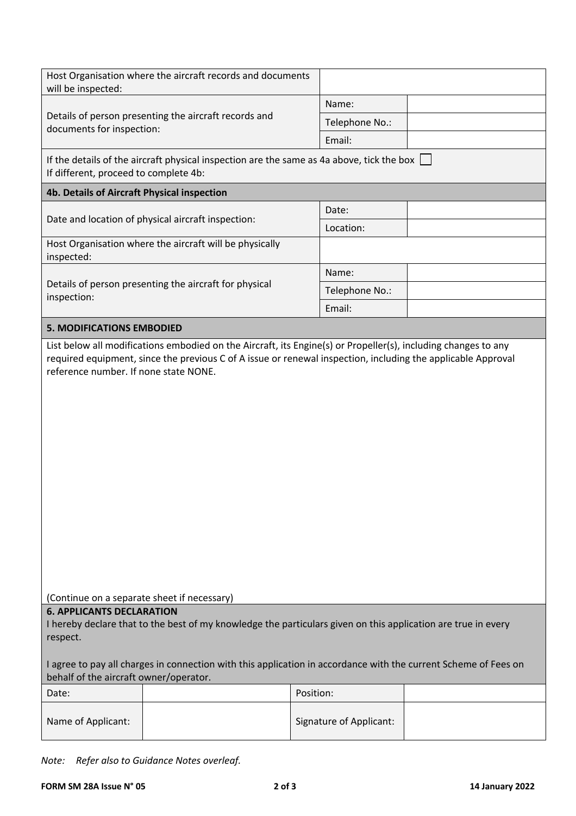| will be inspected:                                                                                                                                            | Host Organisation where the aircraft records and documents                                                      |                |  |  |  |  |  |  |
|---------------------------------------------------------------------------------------------------------------------------------------------------------------|-----------------------------------------------------------------------------------------------------------------|----------------|--|--|--|--|--|--|
|                                                                                                                                                               |                                                                                                                 | Name:          |  |  |  |  |  |  |
| documents for inspection:                                                                                                                                     | Details of person presenting the aircraft records and                                                           | Telephone No.: |  |  |  |  |  |  |
|                                                                                                                                                               |                                                                                                                 | Email:         |  |  |  |  |  |  |
| If the details of the aircraft physical inspection are the same as 4a above, tick the box<br>If different, proceed to complete 4b:                            |                                                                                                                 |                |  |  |  |  |  |  |
| 4b. Details of Aircraft Physical inspection                                                                                                                   |                                                                                                                 |                |  |  |  |  |  |  |
|                                                                                                                                                               |                                                                                                                 | Date:          |  |  |  |  |  |  |
| Date and location of physical aircraft inspection:                                                                                                            |                                                                                                                 | Location:      |  |  |  |  |  |  |
| inspected:                                                                                                                                                    | Host Organisation where the aircraft will be physically                                                         |                |  |  |  |  |  |  |
|                                                                                                                                                               |                                                                                                                 | Name:          |  |  |  |  |  |  |
| Details of person presenting the aircraft for physical<br>inspection:                                                                                         |                                                                                                                 | Telephone No.: |  |  |  |  |  |  |
|                                                                                                                                                               |                                                                                                                 | Email:         |  |  |  |  |  |  |
| <b>5. MODIFICATIONS EMBODIED</b>                                                                                                                              |                                                                                                                 |                |  |  |  |  |  |  |
| reference number. If none state NONE.                                                                                                                         |                                                                                                                 |                |  |  |  |  |  |  |
| (Continue on a separate sheet if necessary)                                                                                                                   |                                                                                                                 |                |  |  |  |  |  |  |
| <b>6. APPLICANTS DECLARATION</b><br>I hereby declare that to the best of my knowledge the particulars given on this application are true in every<br>respect. |                                                                                                                 |                |  |  |  |  |  |  |
|                                                                                                                                                               |                                                                                                                 |                |  |  |  |  |  |  |
| behalf of the aircraft owner/operator.                                                                                                                        | I agree to pay all charges in connection with this application in accordance with the current Scheme of Fees on |                |  |  |  |  |  |  |
| Date:                                                                                                                                                         |                                                                                                                 | Position:      |  |  |  |  |  |  |

*Note: Refer also to Guidance Notes overleaf.*